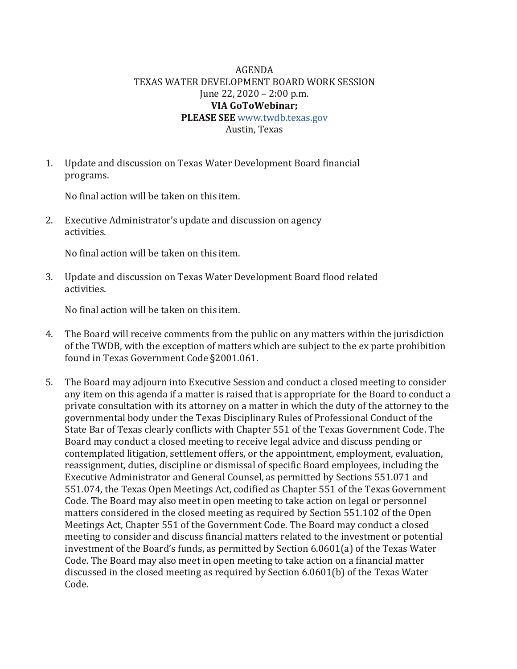## AGENDA TEXAS WATER DEVELOPMENT BOARD WORK SESSION June 22, 2020 – 2:00 p.m. **VIA GoToWebinar; PLEASE SEE** [www.twdb.texas.gov](http://www.twdb.texas.gov/) Austin, Texas

1. Update and discussion on Texas Water Development Board financial programs.

No final action will be taken on this item.

2. Executive Administrator's update and discussion on agency activities.

No final action will be taken on this item.

3. Update and discussion on Texas Water Development Board flood related activities.

No final action will be taken on this item.

- 4. The Board will receive comments from the public on any matters within the jurisdiction of the TWDB, with the exception of matters which are subject to the ex parte prohibition found in Texas Government Code §2001.061.
- 5. The Board may adjourn into Executive Session and conduct a closed meeting to consider any item on this agenda if a matter is raised that is appropriate for the Board to conduct a private consultation with its attorney on a matter in which the duty of the attorney to the governmental body under the Texas Disciplinary Rules of Professional Conduct of the State Bar of Texas clearly conflicts with Chapter 551 of the Texas Government Code. The Board may conduct a closed meeting to receive legal advice and discuss pending or contemplated litigation, settlement offers, or the appointment, employment, evaluation, reassignment, duties, discipline or dismissal of specific Board employees, including the Executive Administrator and General Counsel, as permitted by Sections 551.071 and 551.074, the Texas Open Meetings Act, codified as Chapter 551 of the Texas Government Code. The Board may also meet in open meeting to take action on legal or personnel matters considered in the closed meeting as required by Section 551.102 of the Open Meetings Act, Chapter 551 of the Government Code. The Board may conduct a closed meeting to consider and discuss financial matters related to the investment or potential investment of the Board's funds, as permitted by Section 6.0601(a) of the Texas Water Code. The Board may also meet in open meeting to take action on a financial matter discussed in the closed meeting as required by Section 6.0601(b) of the Texas Water Code.